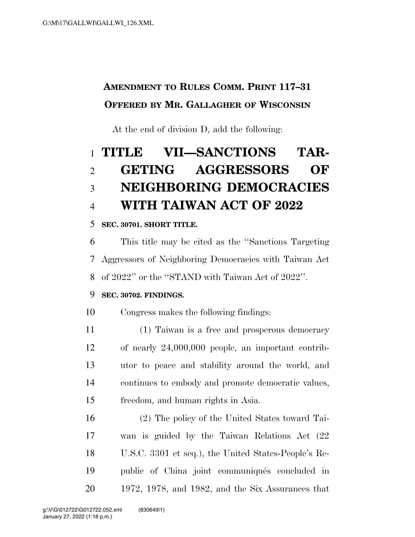# **AMENDMENT TO RULES COMM. PRINT 117–31 OFFERED BY MR. GALLAGHER OF WISCONSIN**

At the end of division D, add the following:

# **TITLE VII—SANCTIONS TAR- GETING AGGRESSORS OF NEIGHBORING DEMOCRACIES WITH TAIWAN ACT OF 2022**

### **SEC. 30701. SHORT TITLE.**

 This title may be cited as the ''Sanctions Targeting Aggressors of Neighboring Democracies with Taiwan Act of 2022'' or the ''STAND with Taiwan Act of 2022''.

## **SEC. 30702. FINDINGS.**

Congress makes the following findings:

 (1) Taiwan is a free and prosperous democracy of nearly 24,000,000 people, an important contrib- utor to peace and stability around the world, and continues to embody and promote democratic values, freedom, and human rights in Asia.

 (2) The policy of the United States toward Tai- wan is guided by the Taiwan Relations Act (22 U.S.C. 3301 et seq.), the United States-People's Re-19 public of China joint communiqués concluded in 1972, 1978, and 1982, and the Six Assurances that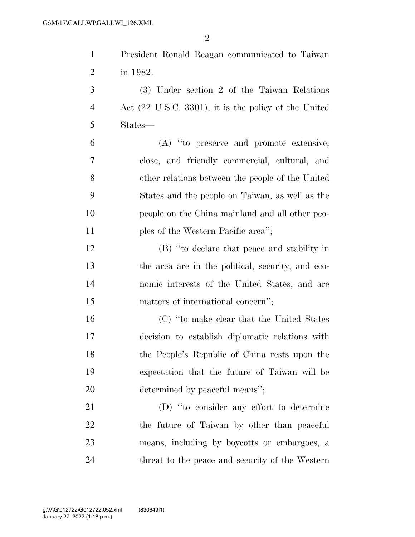| $\mathbf{1}$   | President Ronald Reagan communicated to Taiwan                   |
|----------------|------------------------------------------------------------------|
| $\overline{2}$ | in 1982.                                                         |
| 3              | (3) Under section 2 of the Taiwan Relations                      |
| $\overline{4}$ | Act $(22 \text{ U.S.C. } 3301)$ , it is the policy of the United |
| 5              | States—                                                          |
| 6              | (A) "to preserve and promote extensive,                          |
| 7              | close, and friendly commercial, cultural, and                    |
| 8              | other relations between the people of the United                 |
| 9              | States and the people on Taiwan, as well as the                  |
| 10             | people on the China mainland and all other peo-                  |
| 11             | ples of the Western Pacific area'';                              |
| 12             | (B) "to declare that peace and stability in                      |
| 13             | the area are in the political, security, and eco-                |
| 14             | nomic interests of the United States, and are                    |
| 15             | matters of international concern";                               |
| 16             | (C) "to make clear that the United States                        |
| 17             | decision to establish diplomatic relations with                  |
| 18             | the People's Republic of China rests upon the                    |
| 19             | expectation that the future of Taiwan will be                    |
| 20             | determined by peaceful means";                                   |
| 21             | (D) "to consider any effort to determine                         |
| 22             | the future of Taiwan by other than peaceful                      |
| 23             | means, including by boycotts or embargoes, a                     |
| 24             | threat to the peace and security of the Western                  |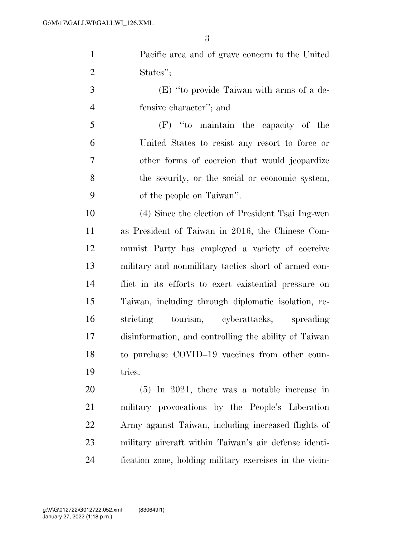Pacific area and of grave concern to the United States'';

 (E) ''to provide Taiwan with arms of a de-fensive character''; and

 (F) ''to maintain the capacity of the United States to resist any resort to force or other forms of coercion that would jeopardize the security, or the social or economic system, of the people on Taiwan''.

 (4) Since the election of President Tsai Ing-wen as President of Taiwan in 2016, the Chinese Com- munist Party has employed a variety of coercive military and nonmilitary tactics short of armed con- flict in its efforts to exert existential pressure on Taiwan, including through diplomatic isolation, re- stricting tourism, cyberattacks, spreading disinformation, and controlling the ability of Taiwan to purchase COVID–19 vaccines from other coun-tries.

 (5) In 2021, there was a notable increase in military provocations by the People's Liberation Army against Taiwan, including increased flights of military aircraft within Taiwan's air defense identi-fication zone, holding military exercises in the vicin-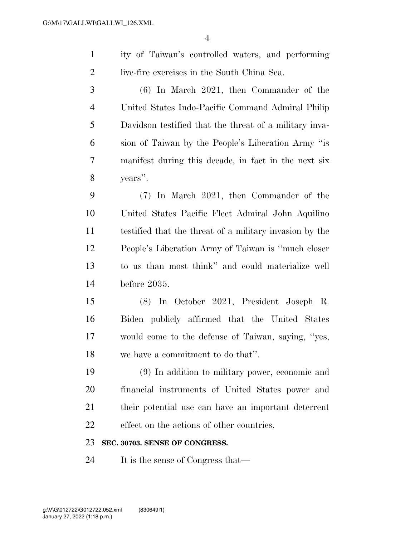ity of Taiwan's controlled waters, and performing live-fire exercises in the South China Sea.

 (6) In March 2021, then Commander of the United States Indo-Pacific Command Admiral Philip Davidson testified that the threat of a military inva- sion of Taiwan by the People's Liberation Army ''is manifest during this decade, in fact in the next six years''.

 (7) In March 2021, then Commander of the United States Pacific Fleet Admiral John Aquilino testified that the threat of a military invasion by the People's Liberation Army of Taiwan is ''much closer to us than most think'' and could materialize well before 2035.

 (8) In October 2021, President Joseph R. Biden publicly affirmed that the United States would come to the defense of Taiwan, saying, ''yes, we have a commitment to do that''.

 (9) In addition to military power, economic and financial instruments of United States power and their potential use can have an important deterrent effect on the actions of other countries.

#### **SEC. 30703. SENSE OF CONGRESS.**

It is the sense of Congress that—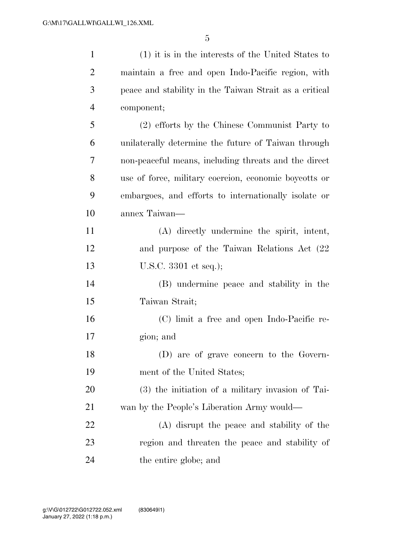| $\mathbf{1}$   | (1) it is in the interests of the United States to     |
|----------------|--------------------------------------------------------|
| $\overline{c}$ | maintain a free and open Indo-Pacific region, with     |
| 3              | peace and stability in the Taiwan Strait as a critical |
| $\overline{4}$ | component;                                             |
| 5              | (2) efforts by the Chinese Communist Party to          |
| 6              | unilaterally determine the future of Taiwan through    |
| 7              | non-peaceful means, including threats and the direct   |
| 8              | use of force, military coercion, economic boycotts or  |
| 9              | embargoes, and efforts to internationally isolate or   |
| 10             | annex Taiwan—                                          |
| 11             | (A) directly undermine the spirit, intent,             |
| 12             | and purpose of the Taiwan Relations Act (22)           |
| 13             | U.S.C. $3301$ et seq.);                                |
| 14             | (B) undermine peace and stability in the               |
| 15             | Taiwan Strait;                                         |
| 16             | (C) limit a free and open Indo-Pacific re-             |
| 17             | gion; and                                              |
| 18             | (D) are of grave concern to the Govern-                |
| 19             | ment of the United States;                             |
| 20             | (3) the initiation of a military invasion of Tai-      |
| 21             | wan by the People's Liberation Army would—             |
| 22             | (A) disrupt the peace and stability of the             |
| 23             | region and threaten the peace and stability of         |
| 24             | the entire globe; and                                  |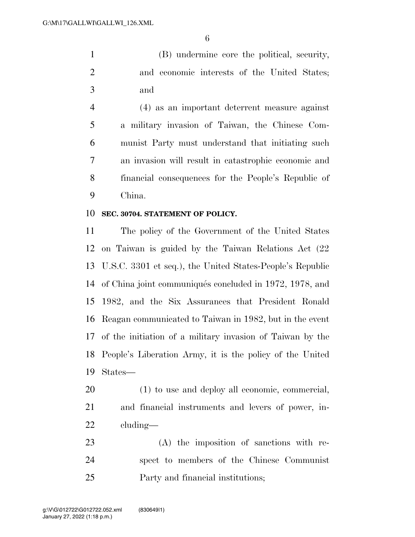(B) undermine core the political, security, and economic interests of the United States; and

 (4) as an important deterrent measure against a military invasion of Taiwan, the Chinese Com- munist Party must understand that initiating such an invasion will result in catastrophic economic and financial consequences for the People's Republic of China.

#### **SEC. 30704. STATEMENT OF POLICY.**

 The policy of the Government of the United States on Taiwan is guided by the Taiwan Relations Act (22 U.S.C. 3301 et seq.), the United States-People's Republic 14 of China joint communiqués concluded in 1972, 1978, and 1982, and the Six Assurances that President Ronald Reagan communicated to Taiwan in 1982, but in the event of the initiation of a military invasion of Taiwan by the People's Liberation Army, it is the policy of the United States—

 (1) to use and deploy all economic, commercial, and financial instruments and levers of power, in-cluding—

 (A) the imposition of sanctions with re- spect to members of the Chinese Communist Party and financial institutions;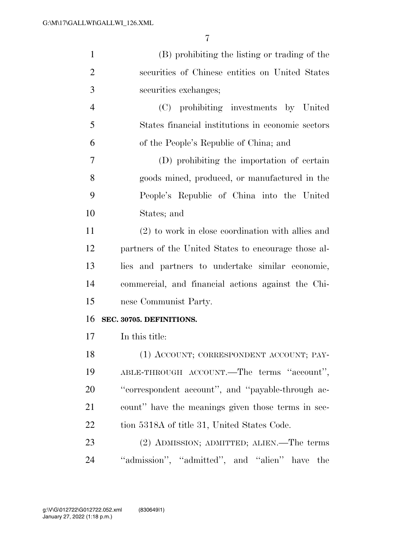| $\mathbf{1}$   | (B) prohibiting the listing or trading of the        |
|----------------|------------------------------------------------------|
| $\overline{2}$ | securities of Chinese entities on United States      |
| 3              | securities exchanges;                                |
| $\overline{4}$ | (C) prohibiting investments by United                |
| 5              | States financial institutions in economic sectors    |
| 6              | of the People's Republic of China; and               |
| 7              | (D) prohibiting the importation of certain           |
| 8              | goods mined, produced, or manufactured in the        |
| 9              | People's Republic of China into the United           |
| 10             | States; and                                          |
| 11             | (2) to work in close coordination with allies and    |
| 12             | partners of the United States to encourage those al- |
| 13             | lies and partners to undertake similar economic,     |
| 14             | commercial, and financial actions against the Chi-   |
| 15             | nese Communist Party.                                |
| 16             | SEC. 30705. DEFINITIONS.                             |
| 17             | In this title:                                       |
| 18             | (1) ACCOUNT; CORRESPONDENT ACCOUNT; PAY-             |
| 19             | ABLE-THROUGH ACCOUNT.—The terms "account",           |
| 20             | "correspondent account", and "payable-through ac-    |
| 21             | count" have the meanings given those terms in sec-   |
| 22             | tion 5318A of title 31, United States Code.          |
| 23             | (2) ADMISSION; ADMITTED; ALIEN.—The terms            |
| 24             | "admission", "admitted", and "alien"<br>the<br>have  |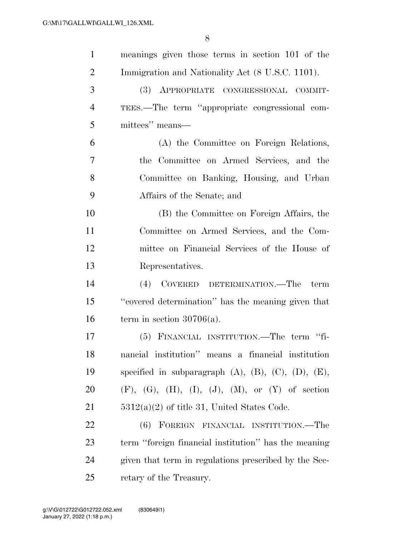| $\mathbf{1}$   | meanings given those terms in section 101 of the                    |
|----------------|---------------------------------------------------------------------|
| $\overline{2}$ | Immigration and Nationality Act (8 U.S.C. 1101).                    |
| 3              | (3) APPROPRIATE CONGRESSIONAL COMMIT-                               |
| $\overline{4}$ | TEES.—The term "appropriate congressional com-                      |
| 5              | mittees" means—                                                     |
| 6              | (A) the Committee on Foreign Relations,                             |
| 7              | the Committee on Armed Services, and the                            |
| 8              | Committee on Banking, Housing, and Urban                            |
| 9              | Affairs of the Senate; and                                          |
| 10             | (B) the Committee on Foreign Affairs, the                           |
| 11             | Committee on Armed Services, and the Com-                           |
| 12             | mittee on Financial Services of the House of                        |
| 13             | Representatives.                                                    |
| 14             | (4) COVERED DETERMINATION.—The<br>term                              |
| 15             | "covered determination" has the meaning given that                  |
| 16             | term in section $30706(a)$ .                                        |
| 17             | (5) FINANCIAL INSTITUTION.—The term "fi-                            |
| 18             | nancial institution" means a financial institution                  |
| 19             | specified in subparagraph $(A)$ , $(B)$ , $(C)$ , $(D)$ , $(E)$ ,   |
| 20             | $(F)$ , $(G)$ , $(H)$ , $(I)$ , $(J)$ , $(M)$ , or $(Y)$ of section |
| 21             | $5312(a)(2)$ of title 31, United States Code.                       |
| 22             | (6) FOREIGN FINANCIAL INSTITUTION.—The                              |
| 23             | term "foreign financial institution" has the meaning                |
| 24             | given that term in regulations prescribed by the Sec-               |
| 25             | retary of the Treasury.                                             |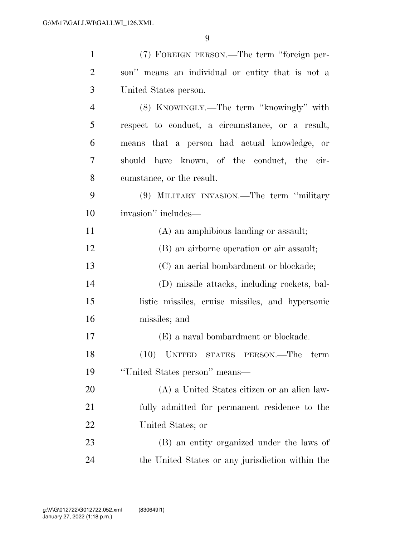| $\mathbf{1}$   | (7) FOREIGN PERSON.—The term "foreign per-       |
|----------------|--------------------------------------------------|
| $\overline{2}$ | son" means an individual or entity that is not a |
| 3              | United States person.                            |
| $\overline{4}$ | (8) KNOWINGLY.—The term "knowingly" with         |
| 5              | respect to conduct, a circumstance, or a result, |
| 6              | means that a person had actual knowledge, or     |
| 7              | should have known, of the conduct, the cir-      |
| 8              | cumstance, or the result.                        |
| 9              | (9) MILITARY INVASION.—The term "military        |
| 10             | invasion" includes—                              |
| 11             | (A) an amphibious landing or assault;            |
| 12             | (B) an airborne operation or air assault;        |
| 13             | (C) an aerial bombardment or blockade;           |
| 14             | (D) missile attacks, including rockets, bal-     |
| 15             | listic missiles, cruise missiles, and hypersonic |
| 16             | missiles; and                                    |
| 17             | (E) a naval bombardment or blockade.             |
| 18             | (10) UNITED STATES PERSON.—The term              |
| 19             | "United States person" means—                    |
| 20             | (A) a United States citizen or an alien law-     |
| 21             | fully admitted for permanent residence to the    |
| 22             | United States; or                                |
| 23             | (B) an entity organized under the laws of        |
| 24             | the United States or any jurisdiction within the |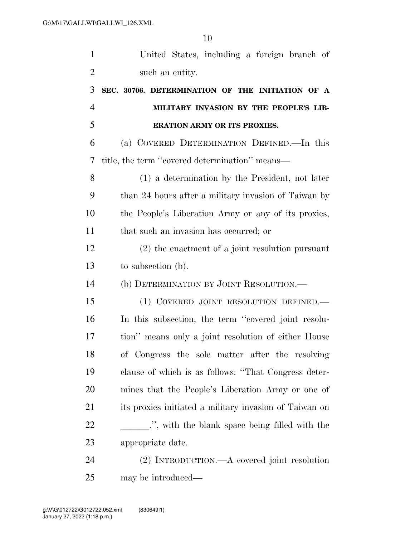| $\mathbf{1}$   | United States, including a foreign branch of           |
|----------------|--------------------------------------------------------|
| $\overline{2}$ | such an entity.                                        |
| 3              | SEC. 30706. DETERMINATION OF THE INITIATION OF A       |
| $\overline{4}$ | MILITARY INVASION BY THE PEOPLE'S LIB-                 |
| 5              | <b>ERATION ARMY OR ITS PROXIES.</b>                    |
| 6              | (a) COVERED DETERMINATION DEFINED.—In this             |
| 7              | title, the term "covered determination" means—         |
| 8              | (1) a determination by the President, not later        |
| 9              | than 24 hours after a military invasion of Taiwan by   |
| 10             | the People's Liberation Army or any of its proxies,    |
| 11             | that such an invasion has occurred; or                 |
| 12             | $(2)$ the enactment of a joint resolution pursuant     |
| 13             | to subsection (b).                                     |
| 14             | (b) DETERMINATION BY JOINT RESOLUTION.                 |
| 15             | (1) COVERED JOINT RESOLUTION DEFINED.                  |
| 16             | In this subsection, the term "covered joint resolu-    |
| 17             | tion" means only a joint resolution of either House    |
| 18             | of Congress the sole matter after the resolving        |
| 19             | clause of which is as follows: "That Congress deter-   |
| 20             | mines that the People's Liberation Army or one of      |
| 21             | its proxies initiated a military invasion of Taiwan on |
| 22             |                                                        |
| 23             | appropriate date.                                      |
| 24             | (2) INTRODUCTION.—A covered joint resolution           |
| 25             | may be introduced—                                     |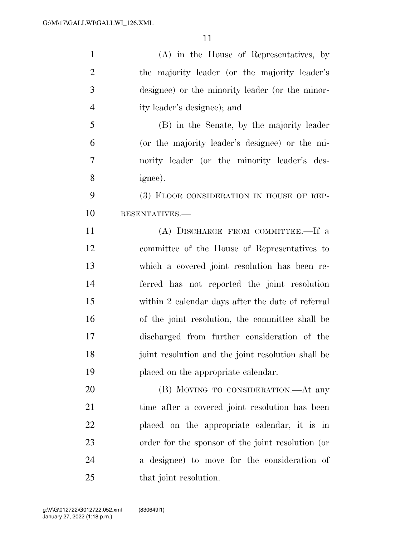| $\mathbf{1}$   | $(A)$ in the House of Representatives, by          |
|----------------|----------------------------------------------------|
| $\overline{2}$ | the majority leader (or the majority leader's      |
| 3              | designee) or the minority leader (or the minor-    |
| $\overline{4}$ | ity leader's designee); and                        |
| 5              | (B) in the Senate, by the majority leader          |
| 6              | (or the majority leader's designee) or the mi-     |
| $\overline{7}$ | nority leader (or the minority leader's des-       |
| 8              | ignee).                                            |
| 9              | (3) FLOOR CONSIDERATION IN HOUSE OF REP-           |
| 10             | RESENTATIVES.                                      |
| 11             | (A) DISCHARGE FROM COMMITTEE.—If a                 |
| 12             | committee of the House of Representatives to       |
| 13             | which a covered joint resolution has been re-      |
| 14             | ferred has not reported the joint resolution       |
| 15             | within 2 calendar days after the date of referral  |
| 16             | of the joint resolution, the committee shall be    |
| 17             | discharged from further consideration of the       |
| 18             | joint resolution and the joint resolution shall be |
| 19             | placed on the appropriate calendar.                |
| 20             | (B) MOVING TO CONSIDERATION.—At any                |
| 21             | time after a covered joint resolution has been     |
| 22             | placed on the appropriate calendar, it is in       |
| 23             | order for the sponsor of the joint resolution (or  |
| 24             | a designee) to move for the consideration of       |
| 25             | that joint resolution.                             |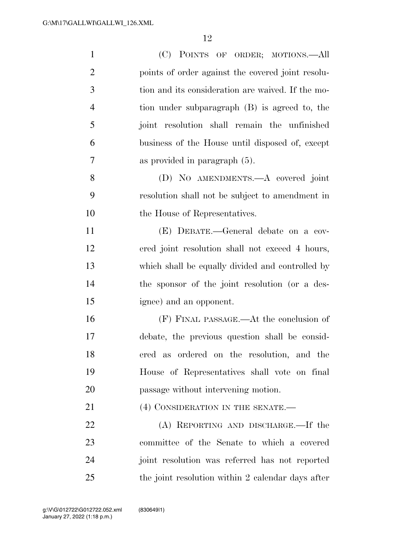| $\mathbf{1}$   | (C) POINTS OF ORDER; MOTIONS.—All                 |
|----------------|---------------------------------------------------|
| $\overline{2}$ | points of order against the covered joint resolu- |
| 3              | tion and its consideration are waived. If the mo- |
| $\overline{4}$ | tion under subparagraph (B) is agreed to, the     |
| 5              | joint resolution shall remain the unfinished      |
| 6              | business of the House until disposed of, except   |
| $\overline{7}$ | as provided in paragraph (5).                     |
| 8              | (D) NO AMENDMENTS.—A covered joint                |
| 9              | resolution shall not be subject to amendment in   |
| 10             | the House of Representatives.                     |
| 11             | (E) DEBATE.—General debate on a cov-              |
| 12             | ered joint resolution shall not exceed 4 hours,   |
| 13             | which shall be equally divided and controlled by  |
| 14             | the sponsor of the joint resolution (or a des-    |
| 15             | ignee) and an opponent.                           |
| 16             | (F) FINAL PASSAGE.—At the conclusion of           |
| 17             | debate, the previous question shall be consid-    |
| 18             | ered as ordered on the resolution, and the        |
| 19             | House of Representatives shall vote on final      |
| 20             | passage without intervening motion.               |
| 21             | (4) CONSIDERATION IN THE SENATE.-                 |
| 22             | (A) REPORTING AND DISCHARGE.—If the               |
| 23             | committee of the Senate to which a covered        |
| 24             | joint resolution was referred has not reported    |
| 25             | the joint resolution within 2 calendar days after |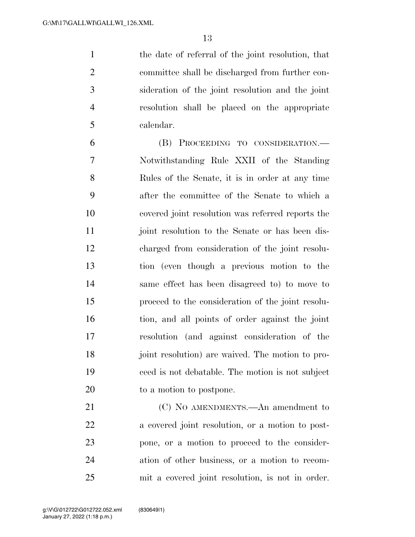the date of referral of the joint resolution, that committee shall be discharged from further con- sideration of the joint resolution and the joint resolution shall be placed on the appropriate calendar.

 (B) PROCEEDING TO CONSIDERATION.— Notwithstanding Rule XXII of the Standing Rules of the Senate, it is in order at any time after the committee of the Senate to which a covered joint resolution was referred reports the 11 joint resolution to the Senate or has been dis- charged from consideration of the joint resolu- tion (even though a previous motion to the same effect has been disagreed to) to move to proceed to the consideration of the joint resolu- tion, and all points of order against the joint resolution (and against consideration of the joint resolution) are waived. The motion to pro- ceed is not debatable. The motion is not subject to a motion to postpone.

21 (C) NO AMENDMENTS.—An amendment to a covered joint resolution, or a motion to post- pone, or a motion to proceed to the consider- ation of other business, or a motion to recom-mit a covered joint resolution, is not in order.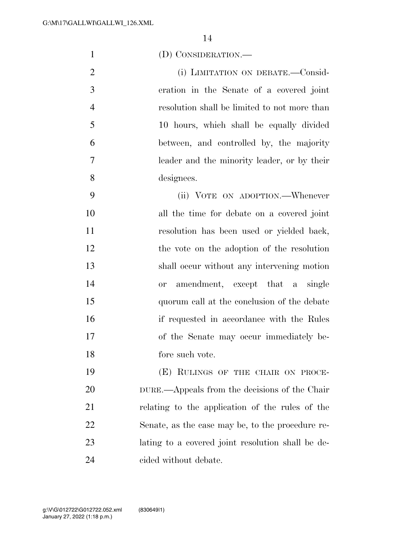| $\mathbf{1}$   | (D) CONSIDERATION.—                               |
|----------------|---------------------------------------------------|
| $\overline{2}$ | (i) LIMITATION ON DEBATE.—Consid-                 |
| 3              | eration in the Senate of a covered joint          |
| $\overline{4}$ | resolution shall be limited to not more than      |
| 5              | 10 hours, which shall be equally divided          |
| 6              | between, and controlled by, the majority          |
| 7              | leader and the minority leader, or by their       |
| 8              | designees.                                        |
| 9              | (ii) VOTE ON ADOPTION.—Whenever                   |
| 10             | all the time for debate on a covered joint        |
| 11             | resolution has been used or yielded back,         |
| 12             | the vote on the adoption of the resolution        |
| 13             | shall occur without any intervening motion        |
| 14             | amendment, except that a single<br><b>or</b>      |
| 15             | quorum call at the conclusion of the debate       |
| 16             | if requested in accordance with the Rules         |
| 17             | of the Senate may occur immediately be-           |
| 18             | fore such vote.                                   |
| 19             | (E) RULINGS OF THE CHAIR ON PROCE-                |
| <b>20</b>      | DURE.—Appeals from the decisions of the Chair     |
| 21             | relating to the application of the rules of the   |
| 22             | Senate, as the case may be, to the procedure re-  |
| 23             | lating to a covered joint resolution shall be de- |
| 24             | cided without debate.                             |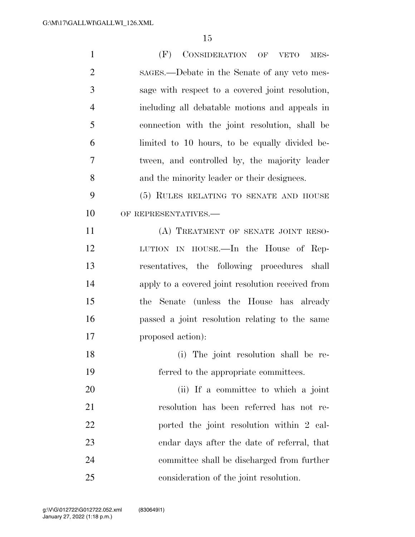| $\mathbf{1}$   | (F)<br>CONSIDERATION OF VETO<br>MES-              |
|----------------|---------------------------------------------------|
| $\overline{2}$ | sages.—Debate in the Senate of any veto mes-      |
| 3              | sage with respect to a covered joint resolution,  |
| $\overline{4}$ | including all debatable motions and appeals in    |
| 5              | connection with the joint resolution, shall be    |
| 6              | limited to 10 hours, to be equally divided be-    |
| 7              | tween, and controlled by, the majority leader     |
| 8              | and the minority leader or their designees.       |
| 9              | (5) RULES RELATING TO SENATE AND HOUSE            |
| 10             | OF REPRESENTATIVES.-                              |
| 11             | (A) TREATMENT OF SENATE JOINT RESO-               |
| 12             | LUTION IN HOUSE.—In the House of Rep-             |
| 13             | resentatives, the following procedures shall      |
| 14             | apply to a covered joint resolution received from |
| 15             | Senate (unless the House has already<br>the       |
| 16             | passed a joint resolution relating to the same    |
| 17             | proposed action):                                 |
| 18             | (i) The joint resolution shall be re-             |
| 19             | ferred to the appropriate committees.             |
| 20             | (ii) If a committee to which a joint              |
| 21             | resolution has been referred has not re-          |
| 22             | ported the joint resolution within 2 cal-         |
| 23             | endar days after the date of referral, that       |
| 24             | committee shall be discharged from further        |
| 25             | consideration of the joint resolution.            |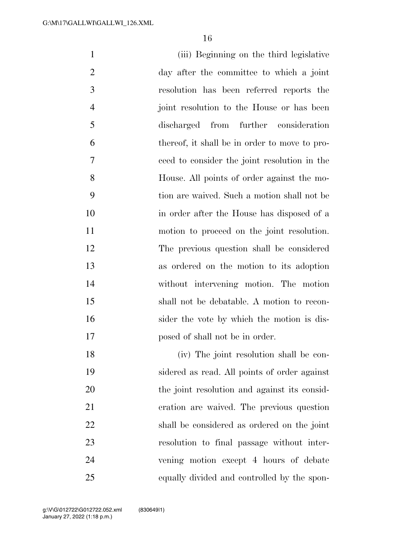| $\mathbf{1}$   | (iii) Beginning on the third legislative      |
|----------------|-----------------------------------------------|
| $\overline{2}$ | day after the committee to which a joint      |
| 3              | resolution has been referred reports the      |
| $\overline{4}$ | joint resolution to the House or has been     |
| 5              | discharged from further consideration         |
| 6              | thereof, it shall be in order to move to pro- |
| 7              | ceed to consider the joint resolution in the  |
| 8              | House. All points of order against the mo-    |
| 9              | tion are waived. Such a motion shall not be   |
| 10             | in order after the House has disposed of a    |
| 11             | motion to proceed on the joint resolution.    |
| 12             | The previous question shall be considered     |
| 13             | as ordered on the motion to its adoption      |
| 14             | without intervening motion. The motion        |
| 15             | shall not be debatable. A motion to recon-    |
| 16             | sider the vote by which the motion is dis-    |
| 17             | posed of shall not be in order.               |
| 18             | (iv) The joint resolution shall be con-       |
| 19             | sidered as read. All points of order against  |
| 20             | the joint resolution and against its consid-  |
| 21             | eration are waived. The previous question     |
| 22             | shall be considered as ordered on the joint   |
| 23             | resolution to final passage without inter-    |
| 24             | vening motion except 4 hours of debate        |
| 25             | equally divided and controlled by the spon-   |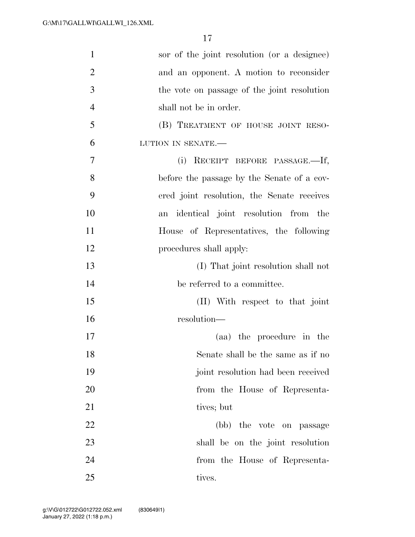| $\mathbf{1}$   | sor of the joint resolution (or a designee) |
|----------------|---------------------------------------------|
| $\overline{2}$ | and an opponent. A motion to reconsider     |
| 3              | the vote on passage of the joint resolution |
| $\overline{4}$ | shall not be in order.                      |
| 5              | (B) TREATMENT OF HOUSE JOINT RESO-          |
| 6              | LUTION IN SENATE.-                          |
| 7              | (i)<br>RECEIPT BEFORE PASSAGE.—If,          |
| 8              | before the passage by the Senate of a cov-  |
| 9              | ered joint resolution, the Senate receives  |
| 10             | identical joint resolution from the<br>an   |
| 11             | House of Representatives, the following     |
| 12             | procedures shall apply:                     |
| 13             | (I) That joint resolution shall not         |
| 14             | be referred to a committee.                 |
| 15             | (II) With respect to that joint             |
| 16             | resolution-                                 |
| 17             | (aa) the procedure in the                   |
| 18             | Senate shall be the same as if no           |
| 19             | joint resolution had been received          |
| 20             | from the House of Representa-               |
| 21             | tives; but                                  |
| 22             | (bb) the vote on passage                    |
| 23             | shall be on the joint resolution            |
| 24             | from the House of Representa-               |
| 25             | tives.                                      |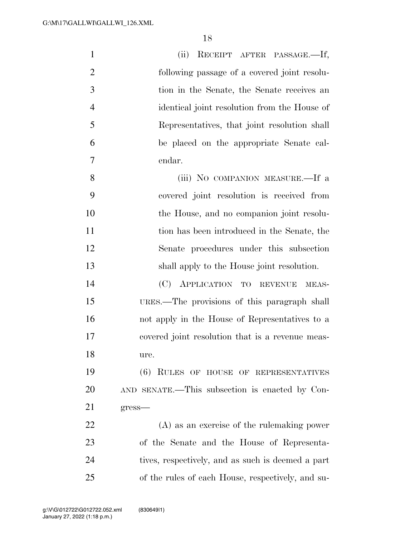| $\mathbf{1}$   | (ii) RECEIPT AFTER PASSAGE.-If,                   |  |
|----------------|---------------------------------------------------|--|
| $\overline{2}$ | following passage of a covered joint resolu-      |  |
| 3              | tion in the Senate, the Senate receives an        |  |
| $\overline{4}$ | identical joint resolution from the House of      |  |
| 5              | Representatives, that joint resolution shall      |  |
| 6              | be placed on the appropriate Senate cal-          |  |
| $\tau$         | endar.                                            |  |
| 8              | (iii) NO COMPANION MEASURE.—If a                  |  |
| 9              | covered joint resolution is received from         |  |
| 10             | the House, and no companion joint resolu-         |  |
| 11             | tion has been introduced in the Senate, the       |  |
| 12             | Senate procedures under this subsection           |  |
| 13             | shall apply to the House joint resolution.        |  |
| 14             | (C) APPLICATION TO REVENUE<br>MEAS-               |  |
| 15             | URES.—The provisions of this paragraph shall      |  |
| 16             | not apply in the House of Representatives to a    |  |
| 17             | covered joint resolution that is a revenue meas-  |  |
| 18             | ure.                                              |  |
| 19             | (6) RULES OF HOUSE OF REPRESENTATIVES             |  |
| 20             | AND SENATE.—This subsection is enacted by Con-    |  |
| 21             | $gress$ —                                         |  |
| 22             | $(A)$ as an exercise of the rule making power     |  |
| 23             | of the Senate and the House of Representa-        |  |
| 24             | tives, respectively, and as such is deemed a part |  |
| 25             | of the rules of each House, respectively, and su- |  |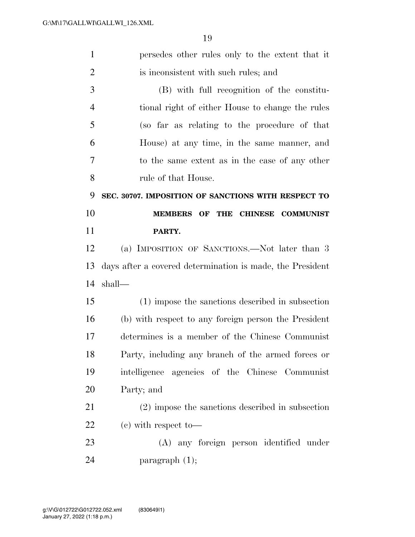| $\mathbf{1}$<br>persedes other rules only to the extent that it |                                                           |  |
|-----------------------------------------------------------------|-----------------------------------------------------------|--|
| $\overline{2}$                                                  | is inconsistent with such rules; and                      |  |
| 3                                                               | (B) with full recognition of the constitu-                |  |
| $\overline{4}$                                                  | tional right of either House to change the rules          |  |
| 5                                                               | (so far as relating to the procedure of that              |  |
| 6                                                               | House) at any time, in the same manner, and               |  |
| $\overline{7}$                                                  | to the same extent as in the case of any other            |  |
| 8                                                               | rule of that House.                                       |  |
| 9                                                               | SEC. 30707. IMPOSITION OF SANCTIONS WITH RESPECT TO       |  |
| 10                                                              | MEMBERS OF THE CHINESE COMMUNIST                          |  |
| 11                                                              | PARTY.                                                    |  |
| 12                                                              | (a) IMPOSITION OF SANCTIONS.—Not later than 3             |  |
| 13                                                              | days after a covered determination is made, the President |  |
| 14                                                              | shall—                                                    |  |
| 15                                                              | (1) impose the sanctions described in subsection          |  |
| 16                                                              | (b) with respect to any foreign person the President      |  |
| 17                                                              | determines is a member of the Chinese Communist           |  |
| 18                                                              | Party, including any branch of the armed forces or        |  |
| 19                                                              | intelligence agencies of the Chinese Communist            |  |
| 20                                                              | Party; and                                                |  |
| 21                                                              | (2) impose the sanctions described in subsection          |  |
| 22                                                              | $(e)$ with respect to-                                    |  |
| 23                                                              | (A) any foreign person identified under                   |  |
| 24                                                              |                                                           |  |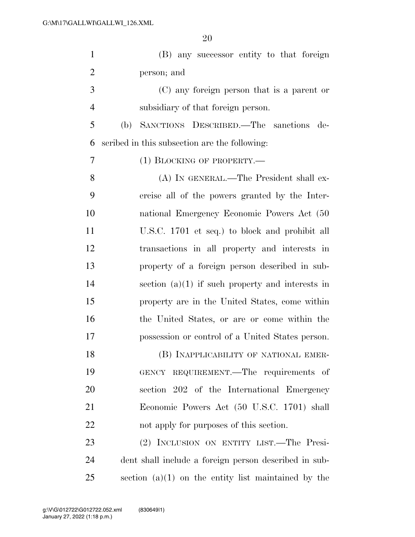| $\mathbf{1}$   | (B) any successor entity to that foreign              |
|----------------|-------------------------------------------------------|
| $\overline{2}$ | person; and                                           |
| 3              | (C) any foreign person that is a parent or            |
| $\overline{4}$ | subsidiary of that foreign person.                    |
| 5              | SANCTIONS DESCRIBED.—The sanctions<br>(b)<br>de-      |
| 6              | scribed in this subsection are the following:         |
| 7              | $(1)$ BLOCKING OF PROPERTY.—                          |
| 8              | (A) IN GENERAL.—The President shall ex-               |
| 9              | ercise all of the powers granted by the Inter-        |
| 10             | national Emergency Economic Powers Act (50            |
| 11             | U.S.C. 1701 et seq.) to block and prohibit all        |
| 12             | transactions in all property and interests in         |
| 13             | property of a foreign person described in sub-        |
| 14             | section $(a)(1)$ if such property and interests in    |
| 15             | property are in the United States, come within        |
| 16             | the United States, or are or come within the          |
| 17             | possession or control of a United States person.      |
| 18             | (B) INAPPLICABILITY OF NATIONAL EMER-                 |
| 19             | GENCY REQUIREMENT.—The requirements of                |
| 20             | section 202 of the International Emergency            |
| 21             | Economic Powers Act (50 U.S.C. 1701) shall            |
| 22             | not apply for purposes of this section.               |
| 23             | (2) INCLUSION ON ENTITY LIST.—The Presi-              |
| 24             | dent shall include a foreign person described in sub- |
| 25             | section $(a)(1)$ on the entity list maintained by the |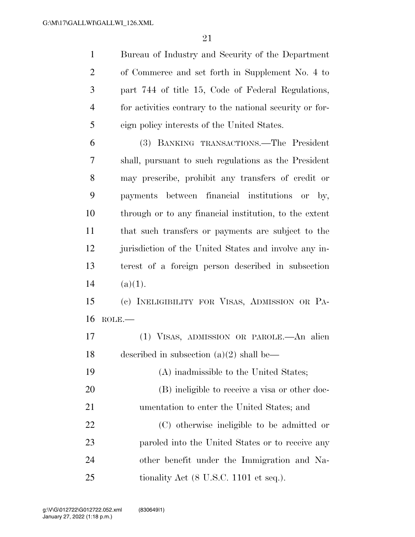Bureau of Industry and Security of the Department of Commerce and set forth in Supplement No. 4 to part 744 of title 15, Code of Federal Regulations, for activities contrary to the national security or for-eign policy interests of the United States.

 (3) BANKING TRANSACTIONS.—The President shall, pursuant to such regulations as the President may prescribe, prohibit any transfers of credit or payments between financial institutions or by, through or to any financial institution, to the extent that such transfers or payments are subject to the jurisdiction of the United States and involve any in- terest of a foreign person described in subsection 14  $(a)(1)$ .

 (c) INELIGIBILITY FOR VISAS, ADMISSION OR PA-ROLE.—

 (1) VISAS, ADMISSION OR PAROLE.—An alien described in subsection (a)(2) shall be—

 (A) inadmissible to the United States; (B) ineligible to receive a visa or other doc- umentation to enter the United States; and (C) otherwise ineligible to be admitted or paroled into the United States or to receive any other benefit under the Immigration and Na-25 tionality Act (8 U.S.C. 1101 et seq.).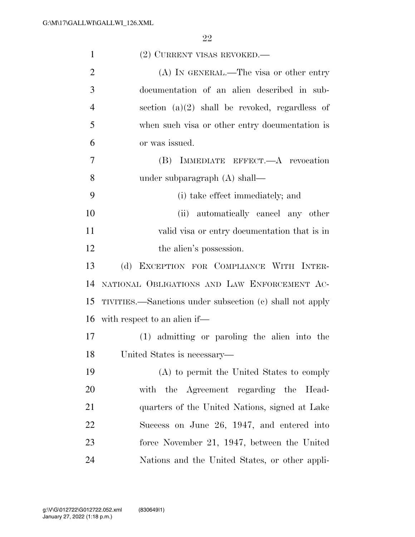| $\mathbf{1}$   | (2) CURRENT VISAS REVOKED.—                              |  |
|----------------|----------------------------------------------------------|--|
| $\overline{2}$ | $(A)$ In GENERAL.—The visa or other entry                |  |
| 3              | documentation of an alien described in sub-              |  |
| $\overline{4}$ | section $(a)(2)$ shall be revoked, regardless of         |  |
| 5              | when such visa or other entry documentation is           |  |
| 6              | or was issued.                                           |  |
| 7              | IMMEDIATE EFFECT.- A revocation<br>(B)                   |  |
| 8              | under subparagraph $(A)$ shall—                          |  |
| 9              | (i) take effect immediately; and                         |  |
| 10             | (ii) automatically cancel any other                      |  |
| 11             | valid visa or entry documentation that is in             |  |
| 12             | the alien's possession.                                  |  |
| 13             | (d) EXCEPTION FOR COMPLIANCE WITH INTER-                 |  |
| 14             | NATIONAL OBLIGATIONS AND LAW ENFORCEMENT AC-             |  |
| 15             | TIVITIES.—Sanctions under subsection (c) shall not apply |  |
| 16             | with respect to an alien if—                             |  |
| 17             | (1) admitting or paroling the alien into the             |  |
| 18             | United States is necessary—                              |  |
| 19             | (A) to permit the United States to comply                |  |
| 20             | with the Agreement regarding the Head-                   |  |
| 21             | quarters of the United Nations, signed at Lake           |  |
| 22             | Success on June 26, 1947, and entered into               |  |
| 23             | force November 21, 1947, between the United              |  |
| 24             | Nations and the United States, or other appli-           |  |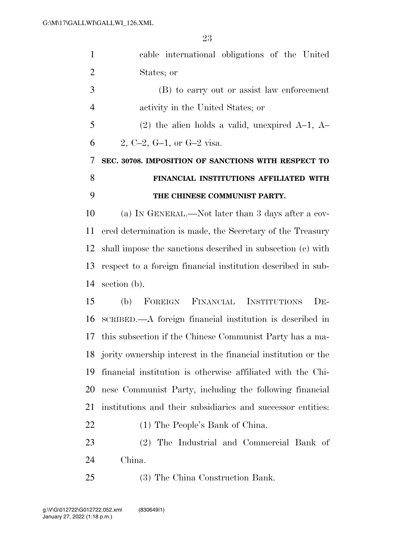| $\mathbf{1}$   | cable international obligations of the United                 |
|----------------|---------------------------------------------------------------|
| $\overline{2}$ | States; or                                                    |
| 3              | (B) to carry out or assist law enforcement                    |
| $\overline{4}$ | activity in the United States; or                             |
| 5              | $(2)$ the alien holds a valid, unexpired A-1, A-              |
| 6              | 2, C-2, G-1, or G-2 visa.                                     |
| 7              | SEC. 30708. IMPOSITION OF SANCTIONS WITH RESPECT TO           |
| 8              | FINANCIAL INSTITUTIONS AFFILIATED WITH                        |
| 9              | THE CHINESE COMMUNIST PARTY.                                  |
| 10             | (a) IN GENERAL.—Not later than 3 days after a cov-            |
| 11             | ered determination is made, the Secretary of the Treasury     |
| 12             | shall impose the sanctions described in subsection (c) with   |
| 13             | respect to a foreign financial institution described in sub-  |
| 14             | section (b).                                                  |
| 15             | FOREIGN FINANCIAL INSTITUTIONS<br>$DE-$<br>(b)                |
| 16             | SCRIBED.—A foreign financial institution is described in      |
| 17             | this subsection if the Chinese Communist Party has a ma-      |
| 18             | jority ownership interest in the financial institution or the |
| 19             | financial institution is otherwise affiliated with the Chi-   |
| 20             | nese Communist Party, including the following financial       |
| 21             | institutions and their subsidiaries and successor entities:   |
| 22             | (1) The People's Bank of China.                               |
| 23             | (2) The Industrial and Commercial Bank of                     |
| 24             | China.                                                        |
| 25             | (3) The China Construction Bank.                              |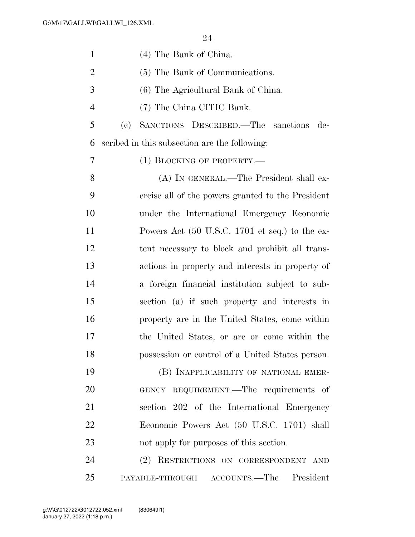| $\mathbf{1}$   | (4) The Bank of China.                            |  |
|----------------|---------------------------------------------------|--|
| $\overline{2}$ | (5) The Bank of Communications.                   |  |
| 3              | (6) The Agricultural Bank of China.               |  |
| $\overline{4}$ | (7) The China CITIC Bank.                         |  |
| 5              | SANCTIONS DESCRIBED.—The sanctions<br>(e)<br>de-  |  |
| 6              | scribed in this subsection are the following:     |  |
| 7              | $(1)$ BLOCKING OF PROPERTY.—                      |  |
| 8              | (A) IN GENERAL.—The President shall ex-           |  |
| 9              | ercise all of the powers granted to the President |  |
| 10             | under the International Emergency Economic        |  |
| 11             | Powers Act (50 U.S.C. 1701 et seq.) to the ex-    |  |
| 12             | tent necessary to block and prohibit all trans-   |  |
| 13             | actions in property and interests in property of  |  |
| 14             | a foreign financial institution subject to sub-   |  |
| 15             | section (a) if such property and interests in     |  |
| 16             | property are in the United States, come within    |  |
| 17             | the United States, or are or come within the      |  |
| 18             | possession or control of a United States person.  |  |
| 19             | (B) INAPPLICABILITY OF NATIONAL EMER-             |  |
| 20             | GENCY REQUIREMENT.—The requirements of            |  |
| 21             | section 202 of the International Emergency        |  |
| 22             | Economic Powers Act (50 U.S.C. 1701) shall        |  |
| 23             | not apply for purposes of this section.           |  |
| 24             | (2) RESTRICTIONS ON CORRESPONDENT AND             |  |
| 25             | PAYABLE-THROUGH ACCOUNTS.—The President           |  |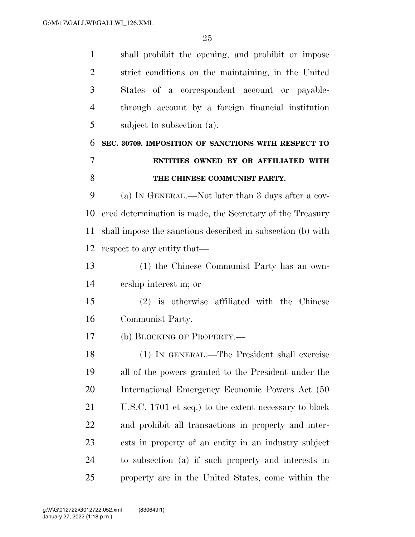| $\mathbf{1}$   | shall prohibit the opening, and prohibit or impose          |  |
|----------------|-------------------------------------------------------------|--|
| $\overline{2}$ | strict conditions on the maintaining, in the United         |  |
| 3              | States of a correspondent account or payable-               |  |
| $\overline{4}$ | through account by a foreign financial institution          |  |
| 5              | subject to subsection (a).                                  |  |
| 6              | SEC. 30709. IMPOSITION OF SANCTIONS WITH RESPECT TO         |  |
| 7              | ENTITIES OWNED BY OR AFFILIATED WITH                        |  |
| 8              | THE CHINESE COMMUNIST PARTY.                                |  |
| 9              | (a) IN GENERAL.—Not later than 3 days after a cov-          |  |
| 10             | ered determination is made, the Secretary of the Treasury   |  |
| 11             | shall impose the sanctions described in subsection (b) with |  |
| 12             | respect to any entity that—                                 |  |
| 13             | (1) the Chinese Communist Party has an own-                 |  |
| 14             | ership interest in; or                                      |  |
| 15             | $(2)$ is otherwise affiliated with the Chinese              |  |
| 16             | Communist Party.                                            |  |
| 17             | (b) BLOCKING OF PROPERTY.—                                  |  |
| 18             | (1) IN GENERAL.—The President shall exercise                |  |
| 19             | all of the powers granted to the President under the        |  |
| 20             | International Emergency Economic Powers Act (50)            |  |
| 21             | U.S.C. 1701 et seq.) to the extent necessary to block       |  |
| 22             | and prohibit all transactions in property and inter-        |  |
| 23             | ests in property of an entity in an industry subject        |  |
| 24             | to subsection (a) if such property and interests in         |  |
| 25             | property are in the United States, come within the          |  |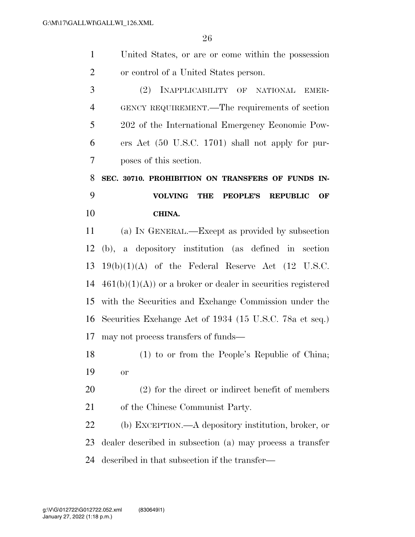|                | 26                                                                       |  |
|----------------|--------------------------------------------------------------------------|--|
| $\mathbf{1}$   | United States, or are or come within the possession                      |  |
| $\overline{2}$ | or control of a United States person.                                    |  |
| 3              | INAPPLICABILITY OF NATIONAL<br>(2)<br>EMER-                              |  |
| $\overline{4}$ | GENCY REQUIREMENT.—The requirements of section                           |  |
| 5              | 202 of the International Emergency Economic Pow-                         |  |
| 6              | ers Act (50 U.S.C. 1701) shall not apply for pur-                        |  |
| 7              | poses of this section.                                                   |  |
| 8              | SEC. 30710. PROHIBITION ON TRANSFERS OF FUNDS IN-                        |  |
|                |                                                                          |  |
| 9              | <b>VOLVING</b><br><b>THE</b><br><b>PEOPLE'S</b><br><b>REPUBLIC</b><br>OF |  |
| 10             | CHINA.                                                                   |  |
| 11             | (a) IN GENERAL.—Except as provided by subsection                         |  |
| 12             | (b), a depository institution (as defined in section                     |  |
| 13             | $19(b)(1)(A)$ of the Federal Reserve Act (12 U.S.C.                      |  |
| 14             | $461(b)(1)(A)$ or a broker or dealer in securities registered            |  |
| 15             | with the Securities and Exchange Commission under the                    |  |
| 16             | Securities Exchange Act of 1934 (15 U.S.C. 78a et seq.)                  |  |

- (1) to or from the People's Republic of China; or
- (2) for the direct or indirect benefit of members of the Chinese Communist Party.

 (b) EXCEPTION.—A depository institution, broker, or dealer described in subsection (a) may process a transfer described in that subsection if the transfer—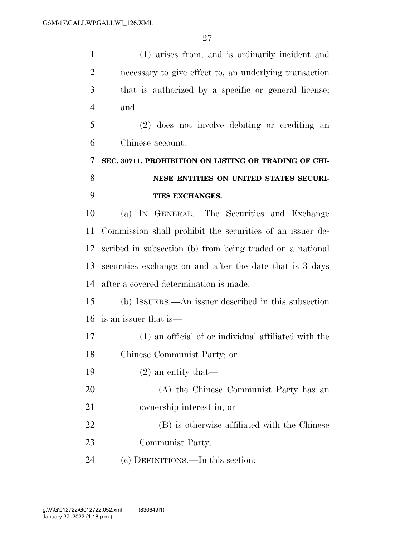| $\mathbf{1}$   | (1) arises from, and is ordinarily incident and           |  |
|----------------|-----------------------------------------------------------|--|
| $\overline{2}$ | necessary to give effect to, an underlying transaction    |  |
| 3              | that is authorized by a specific or general license;      |  |
| $\overline{4}$ | and                                                       |  |
| 5              | (2) does not involve debiting or crediting an             |  |
| 6              | Chinese account.                                          |  |
| 7              | SEC. 30711. PROHIBITION ON LISTING OR TRADING OF CHI-     |  |
| 8              | NESE ENTITIES ON UNITED STATES SECURI-                    |  |
| 9              | TIES EXCHANGES.                                           |  |
| 10             | (a) IN GENERAL.—The Securities and Exchange               |  |
| 11             | Commission shall prohibit the securities of an issuer de- |  |
| 12             | scribed in subsection (b) from being traded on a national |  |
| 13             | securities exchange on and after the date that is 3 days  |  |
| 14             | after a covered determination is made.                    |  |
| 15             | (b) ISSUERS.—An issuer described in this subsection       |  |
| 16             | is an issuer that is—                                     |  |
| 17             | (1) an official of or individual affiliated with the      |  |
| 18             | Chinese Communist Party; or                               |  |
| 19             | $(2)$ an entity that—                                     |  |
| 20             | (A) the Chinese Communist Party has an                    |  |
| 21             | ownership interest in; or                                 |  |
| 22             | (B) is otherwise affiliated with the Chinese              |  |
| 23             | Communist Party.                                          |  |
| 24             | (c) DEFINITIONS.—In this section:                         |  |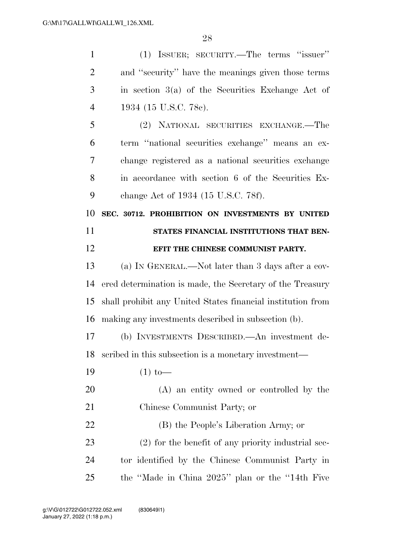| $\mathbf{1}$   | (1) ISSUER; SECURITY.—The terms "issuer"                    |
|----------------|-------------------------------------------------------------|
| $\overline{2}$ | and "security" have the meanings given those terms          |
| 3              | in section $3(a)$ of the Securities Exchange Act of         |
| 4              | 1934 (15 U.S.C. 78c).                                       |
| 5              | (2) NATIONAL SECURITIES EXCHANGE.—The                       |
| 6              | term "national securities exchange" means an ex-            |
| 7              | change registered as a national securities exchange         |
| 8              | in accordance with section 6 of the Securities Ex-          |
| 9              | change Act of 1934 (15 U.S.C. 78f).                         |
| 10             | SEC. 30712. PROHIBITION ON INVESTMENTS BY UNITED            |
| 11             | STATES FINANCIAL INSTITUTIONS THAT BEN-                     |
| 12             | EFIT THE CHINESE COMMUNIST PARTY.                           |
| 13             | (a) IN GENERAL.—Not later than 3 days after a cov-          |
| 14             | ered determination is made, the Secretary of the Treasury   |
| 15             | shall prohibit any United States financial institution from |
| 16             | making any investments described in subsection (b).         |
| 17             | (b) INVESTMENTS DESCRIBED.—An investment de-                |
|                |                                                             |
|                | 18 seribed in this subsection is a monetary investment-     |
| 19             | $(1)$ to —                                                  |
| 20             | (A) an entity owned or controlled by the                    |
| 21             | Chinese Communist Party; or                                 |
| <u>22</u>      | (B) the People's Liberation Army; or                        |
| 23             | $(2)$ for the benefit of any priority industrial sec-       |
| 24             | tor identified by the Chinese Communist Party in            |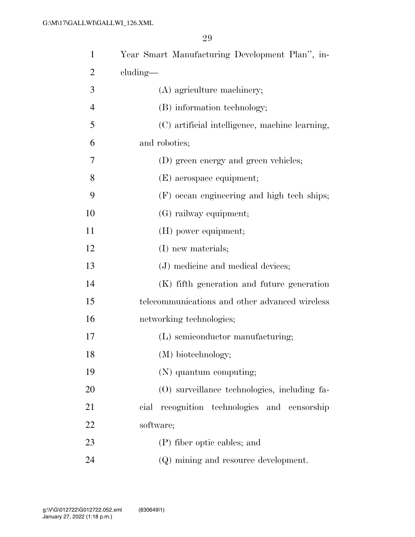| $\mathbf{1}$   | Year Smart Manufacturing Development Plan", in- |  |
|----------------|-------------------------------------------------|--|
| $\overline{2}$ | $cluding$ —                                     |  |
| 3              | (A) agriculture machinery;                      |  |
| $\overline{4}$ | (B) information technology;                     |  |
| 5              | (C) artificial intelligence, machine learning,  |  |
| 6              | and robotics;                                   |  |
| 7              | (D) green energy and green vehicles;            |  |
| 8              | (E) aerospace equipment;                        |  |
| 9              | (F) ocean engineering and high tech ships;      |  |
| 10             | (G) railway equipment;                          |  |
| 11             | (H) power equipment;                            |  |
| 12             | (I) new materials;                              |  |
| 13             | (J) medicine and medical devices;               |  |
| 14             | (K) fifth generation and future generation      |  |
| 15             | telecommunications and other advanced wireless  |  |
| 16             | networking technologies;                        |  |
| 17             | (L) semiconductor manufacturing;                |  |
| 18             | (M) biotechnology;                              |  |
| 19             | (N) quantum computing;                          |  |
| 20             | (O) surveillance technologies, including fa-    |  |
| 21             | recognition technologies and censorship<br>cial |  |
| 22             | software;                                       |  |
| 23             | (P) fiber optic cables; and                     |  |
| 24             | (Q) mining and resource development.            |  |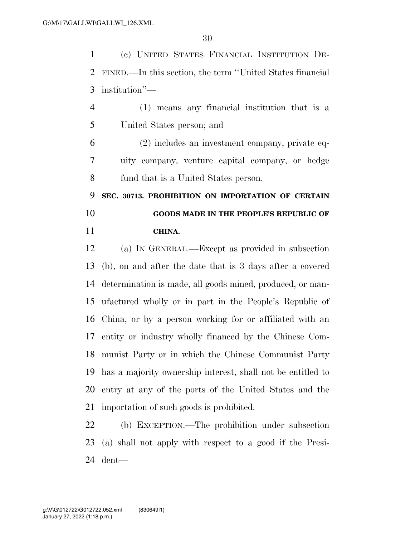(c) UNITED STATES FINANCIAL INSTITUTION DE- FINED.—In this section, the term ''United States financial institution''—

 (1) means any financial institution that is a United States person; and

 (2) includes an investment company, private eq- uity company, venture capital company, or hedge fund that is a United States person.

 **SEC. 30713. PROHIBITION ON IMPORTATION OF CERTAIN GOODS MADE IN THE PEOPLE'S REPUBLIC OF CHINA.** 

 (a) IN GENERAL.—Except as provided in subsection (b), on and after the date that is 3 days after a covered determination is made, all goods mined, produced, or man- ufactured wholly or in part in the People's Republic of China, or by a person working for or affiliated with an entity or industry wholly financed by the Chinese Com- munist Party or in which the Chinese Communist Party has a majority ownership interest, shall not be entitled to entry at any of the ports of the United States and the importation of such goods is prohibited.

 (b) EXCEPTION.—The prohibition under subsection (a) shall not apply with respect to a good if the Presi-dent—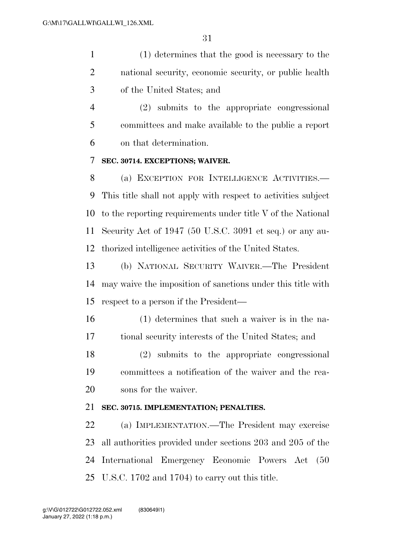(1) determines that the good is necessary to the national security, economic security, or public health of the United States; and

 (2) submits to the appropriate congressional committees and make available to the public a report on that determination.

#### **SEC. 30714. EXCEPTIONS; WAIVER.**

 (a) EXCEPTION FOR INTELLIGENCE ACTIVITIES.— This title shall not apply with respect to activities subject to the reporting requirements under title V of the National Security Act of 1947 (50 U.S.C. 3091 et seq.) or any au-thorized intelligence activities of the United States.

 (b) NATIONAL SECURITY WAIVER.—The President may waive the imposition of sanctions under this title with respect to a person if the President—

 (1) determines that such a waiver is in the na-tional security interests of the United States; and

 (2) submits to the appropriate congressional committees a notification of the waiver and the rea-sons for the waiver.

#### **SEC. 30715. IMPLEMENTATION; PENALTIES.**

 (a) IMPLEMENTATION.—The President may exercise all authorities provided under sections 203 and 205 of the International Emergency Economic Powers Act (50 U.S.C. 1702 and 1704) to carry out this title.